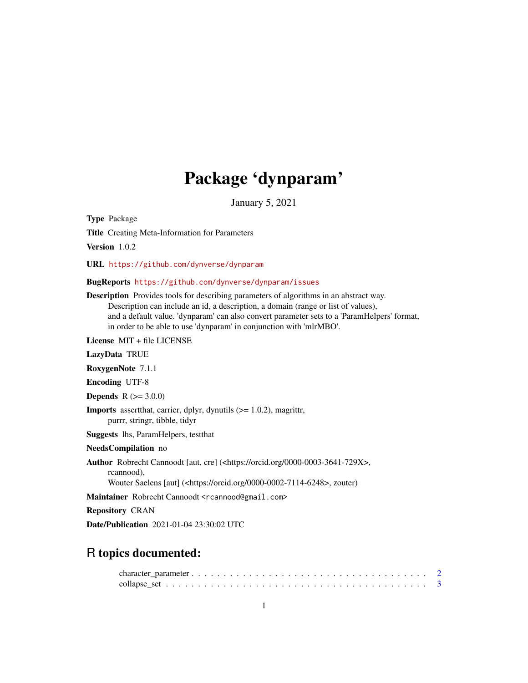## Package 'dynparam'

January 5, 2021

Type Package Title Creating Meta-Information for Parameters Version 1.0.2

URL <https://github.com/dynverse/dynparam>

BugReports <https://github.com/dynverse/dynparam/issues>

Description Provides tools for describing parameters of algorithms in an abstract way. Description can include an id, a description, a domain (range or list of values), and a default value. 'dynparam' can also convert parameter sets to a 'ParamHelpers' format, in order to be able to use 'dynparam' in conjunction with 'mlrMBO'.

License MIT + file LICENSE

LazyData TRUE

RoxygenNote 7.1.1

Encoding UTF-8

**Depends**  $R (= 3.0.0)$ 

Imports assertthat, carrier, dplyr, dynutils (>= 1.0.2), magrittr, purrr, stringr, tibble, tidyr

Suggests lhs, ParamHelpers, testthat

NeedsCompilation no

Author Robrecht Cannoodt [aut, cre] (<https://orcid.org/0000-0003-3641-729X>, rcannood), Wouter Saelens [aut] (<https://orcid.org/0000-0002-7114-6248>, zouter)

Maintainer Robrecht Cannoodt <rcannood@gmail.com>

Repository CRAN

Date/Publication 2021-01-04 23:30:02 UTC

### R topics documented: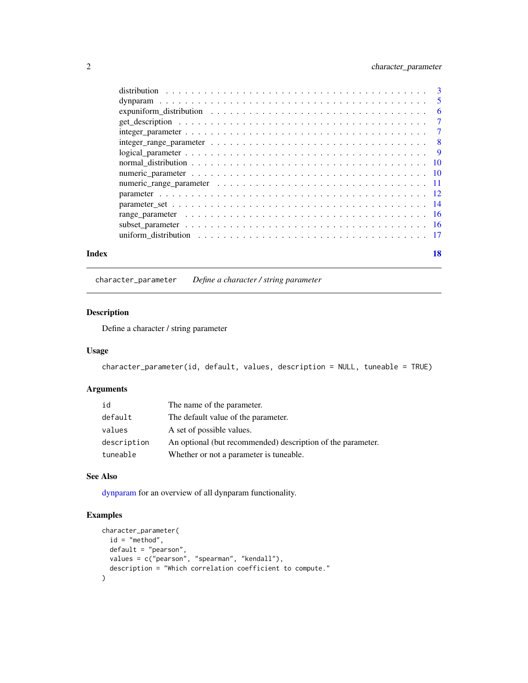#### <span id="page-1-0"></span>2 character\_parameter

| Index | 18 |
|-------|----|

<span id="page-1-1"></span>character\_parameter *Define a character / string parameter*

#### Description

Define a character / string parameter

#### Usage

character\_parameter(id, default, values, description = NULL, tuneable = TRUE)

#### Arguments

| id          | The name of the parameter.                                  |
|-------------|-------------------------------------------------------------|
| default     | The default value of the parameter.                         |
| values      | A set of possible values.                                   |
| description | An optional (but recommended) description of the parameter. |
| tuneable    | Whether or not a parameter is tuneable.                     |

#### See Also

[dynparam](#page-4-1) for an overview of all dynparam functionality.

```
character_parameter(
  id = "method",
 default = "pearson",
  values = c("pearson", "spearman", "kendall"),
  description = "Which correlation coefficient to compute."
)
```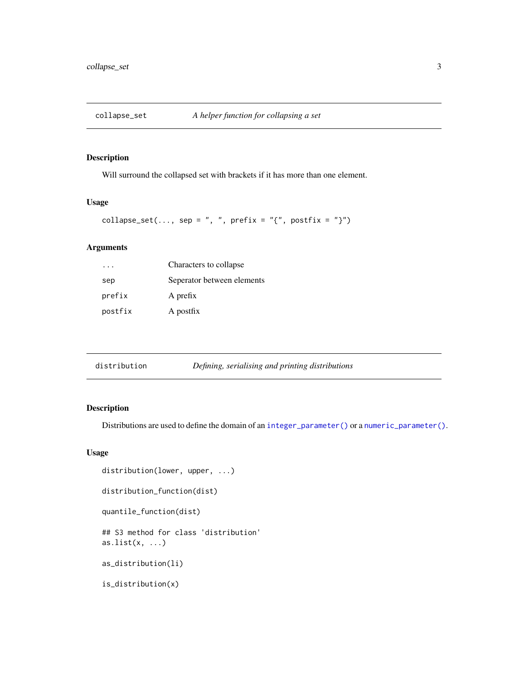<span id="page-2-0"></span>

#### Description

Will surround the collapsed set with brackets if it has more than one element.

#### Usage

```
collapse_set(..., sep = ", ", prefix = "{", postfix = "}")
```
#### Arguments

|         | Characters to collapse     |
|---------|----------------------------|
| sep     | Seperator between elements |
| prefix  | A prefix                   |
| postfix | A postfix                  |

<span id="page-2-1"></span>

| distribution | Defining, serialising and printing distributions |  |
|--------------|--------------------------------------------------|--|
|--------------|--------------------------------------------------|--|

#### Description

Distributions are used to define the domain of an [integer\\_parameter\(\)](#page-6-1) or a [numeric\\_parameter\(\)](#page-9-1).

```
distribution(lower, upper, ...)
distribution_function(dist)
quantile_function(dist)
## S3 method for class 'distribution'
as.list(x, \ldots)as_distribution(li)
is_distribution(x)
```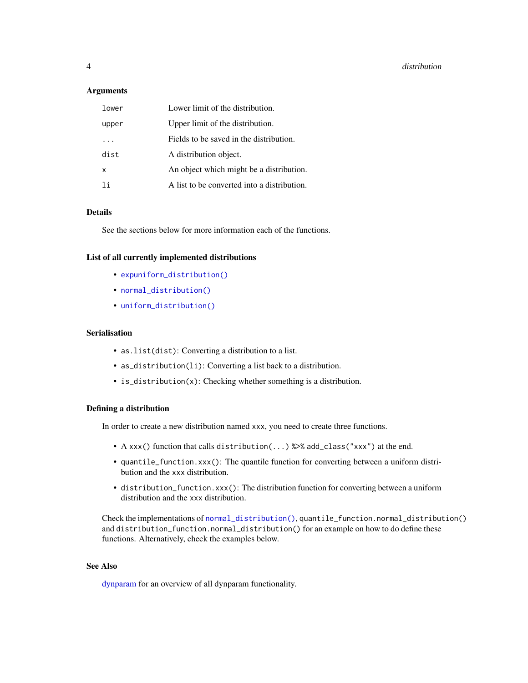<span id="page-3-0"></span>

| lower | Lower limit of the distribution.            |
|-------|---------------------------------------------|
| upper | Upper limit of the distribution.            |
|       | Fields to be saved in the distribution.     |
| dist  | A distribution object.                      |
| X     | An object which might be a distribution.    |
| 1i    | A list to be converted into a distribution. |

#### Details

See the sections below for more information each of the functions.

#### List of all currently implemented distributions

- [expuniform\\_distribution\(\)](#page-5-1)
- [normal\\_distribution\(\)](#page-9-2)
- [uniform\\_distribution\(\)](#page-16-1)

#### Serialisation

- as.list(dist): Converting a distribution to a list.
- as\_distribution(li): Converting a list back to a distribution.
- is\_distribution(x): Checking whether something is a distribution.

#### Defining a distribution

In order to create a new distribution named xxx, you need to create three functions.

- A xxx() function that calls distribution(...) %>% add\_class("xxx") at the end.
- quantile\_function.xxx(): The quantile function for converting between a uniform distribution and the xxx distribution.
- distribution\_function.xxx(): The distribution function for converting between a uniform distribution and the xxx distribution.

Check the implementations of [normal\\_distribution\(\)](#page-9-2), quantile\_function.normal\_distribution() and distribution\_function.normal\_distribution() for an example on how to do define these functions. Alternatively, check the examples below.

#### See Also

[dynparam](#page-4-1) for an overview of all dynparam functionality.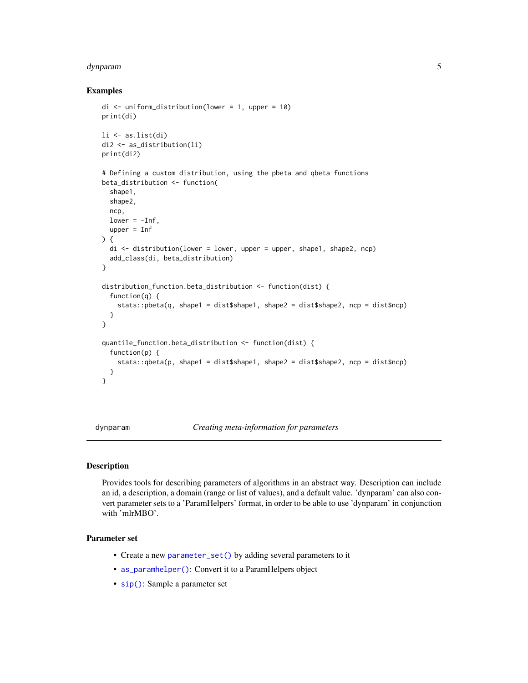#### <span id="page-4-0"></span>dynparam 5

#### Examples

```
di \le uniform_distribution(lower = 1, upper = 10)
print(di)
li <- as.list(di)
di2 <- as_distribution(li)
print(di2)
# Defining a custom distribution, using the pbeta and qbeta functions
beta_distribution <- function(
  shape1,
  shape2,
  ncp,
  lower = -Inf,upper = Inf
) {
  di <- distribution(lower = lower, upper = upper, shape1, shape2, ncp)
  add_class(di, beta_distribution)
}
distribution_function.beta_distribution <- function(dist) {
  function(q) {
    stats::pbeta(q, shape1 = dist$shape1, shape2 = dist$shape2, ncp = dist$ncp)
  }
}
quantile_function.beta_distribution <- function(dist) {
  function(p) {
    stats::qbeta(p, shape1 = dist$shape1, shape2 = dist$shape2, ncp = dist$ncp)
  }
}
```
<span id="page-4-1"></span>dynparam *Creating meta-information for parameters*

#### Description

Provides tools for describing parameters of algorithms in an abstract way. Description can include an id, a description, a domain (range or list of values), and a default value. 'dynparam' can also convert parameter sets to a 'ParamHelpers' format, in order to be able to use 'dynparam' in conjunction with 'mlrMBO'.

#### Parameter set

- Create a new [parameter\\_set\(\)](#page-13-1) by adding several parameters to it
- [as\\_paramhelper\(\)](#page-13-2): Convert it to a ParamHelpers object
- [sip\(\)](#page-13-2): Sample a parameter set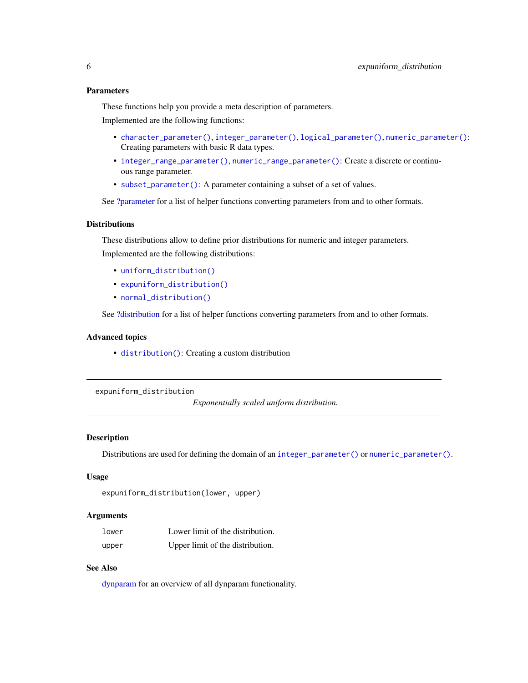#### <span id="page-5-0"></span>Parameters

These functions help you provide a meta description of parameters.

Implemented are the following functions:

- [character\\_parameter\(\)](#page-1-1), [integer\\_parameter\(\)](#page-6-1), [logical\\_parameter\(\)](#page-8-1), [numeric\\_parameter\(\)](#page-9-1): Creating parameters with basic R data types.
- [integer\\_range\\_parameter\(\)](#page-7-1), [numeric\\_range\\_parameter\(\)](#page-10-1): Create a discrete or continuous range parameter.
- [subset\\_parameter\(\)](#page-15-1): A parameter containing a subset of a set of values.

See [?parameter](#page-11-1) for a list of helper functions converting parameters from and to other formats.

#### **Distributions**

These distributions allow to define prior distributions for numeric and integer parameters. Implemented are the following distributions:

- [uniform\\_distribution\(\)](#page-16-1)
- [expuniform\\_distribution\(\)](#page-5-1)
- [normal\\_distribution\(\)](#page-9-2)

See [?distribution](#page-2-1) for a list of helper functions converting parameters from and to other formats.

#### Advanced topics

• [distribution\(\)](#page-2-1): Creating a custom distribution

<span id="page-5-1"></span>expuniform\_distribution

*Exponentially scaled uniform distribution.*

#### **Description**

Distributions are used for defining the domain of an [integer\\_parameter\(\)](#page-6-1) or [numeric\\_parameter\(\)](#page-9-1).

#### Usage

```
expuniform_distribution(lower, upper)
```
#### **Arguments**

| lower | Lower limit of the distribution. |
|-------|----------------------------------|
| upper | Upper limit of the distribution. |

#### See Also

[dynparam](#page-4-1) for an overview of all dynparam functionality.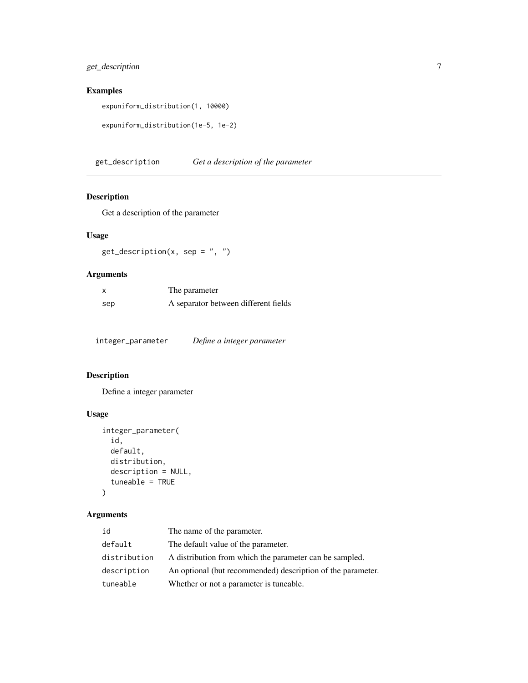#### <span id="page-6-0"></span>get\_description 7

#### Examples

expuniform\_distribution(1, 10000)

```
expuniform_distribution(1e-5, 1e-2)
```
get\_description *Get a description of the parameter*

#### Description

Get a description of the parameter

#### Usage

 $get\_description(x, sep = ", ")$ 

#### Arguments

| X   | The parameter                        |
|-----|--------------------------------------|
| sep | A separator between different fields |

<span id="page-6-1"></span>integer\_parameter *Define a integer parameter*

#### Description

Define a integer parameter

#### Usage

```
integer_parameter(
  id,
 default,
 distribution,
 description = NULL,
  tuneable = TRUE
)
```
#### Arguments

| id           | The name of the parameter.                                  |
|--------------|-------------------------------------------------------------|
| default      | The default value of the parameter.                         |
| distribution | A distribution from which the parameter can be sampled.     |
| description  | An optional (but recommended) description of the parameter. |
| tuneable     | Whether or not a parameter is tuneable.                     |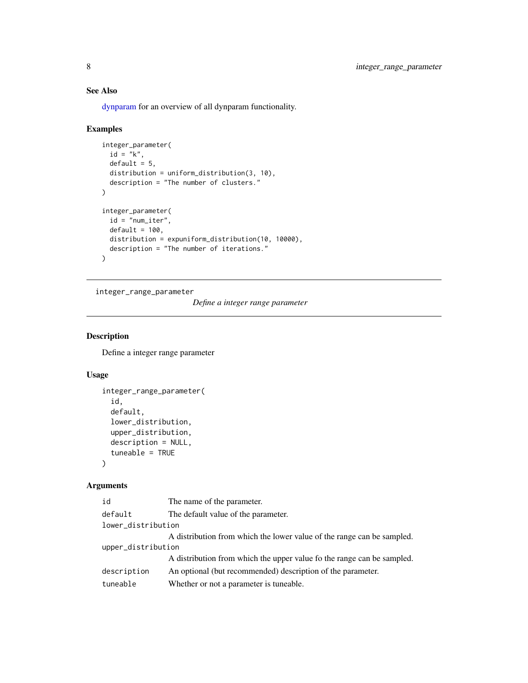### See Also

[dynparam](#page-4-1) for an overview of all dynparam functionality.

#### Examples

```
integer_parameter(
  id = "k",default = 5,
  distribution = uniform_distribution(3, 10),
  description = "The number of clusters."
\mathcal{L}integer_parameter(
 id = "num_iter",
 default = 100,distribution = expuniform_distribution(10, 10000),
  description = "The number of iterations."
\mathcal{L}
```
<span id="page-7-1"></span>integer\_range\_parameter

*Define a integer range parameter*

#### Description

Define a integer range parameter

#### Usage

```
integer_range_parameter(
  id,
  default,
  lower_distribution,
  upper_distribution,
 description = NULL,
  tuneable = TRUE)
```
#### Arguments

| id                 | The name of the parameter.                                             |
|--------------------|------------------------------------------------------------------------|
| default            | The default value of the parameter.                                    |
| lower_distribution |                                                                        |
|                    | A distribution from which the lower value of the range can be sampled. |
| upper_distribution |                                                                        |
|                    | A distribution from which the upper value fo the range can be sampled. |
| description        | An optional (but recommended) description of the parameter.            |
| tuneable           | Whether or not a parameter is tuneable.                                |

<span id="page-7-0"></span>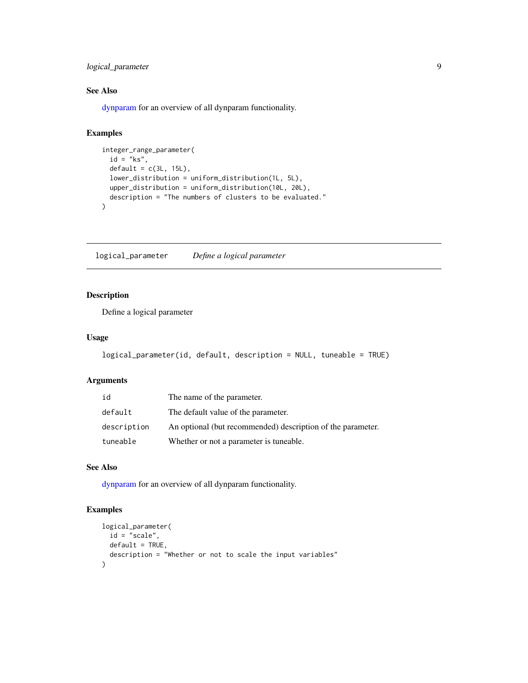<span id="page-8-0"></span>logical\_parameter 9

#### See Also

[dynparam](#page-4-1) for an overview of all dynparam functionality.

#### Examples

```
integer_range_parameter(
 id = "ks",default = c(3L, 15L),lower_distribution = uniform_distribution(1L, 5L),
 upper_distribution = uniform_distribution(10L, 20L),
 description = "The numbers of clusters to be evaluated."
)
```
<span id="page-8-1"></span>logical\_parameter *Define a logical parameter*

#### Description

Define a logical parameter

#### Usage

```
logical_parameter(id, default, description = NULL, tuneable = TRUE)
```
#### Arguments

| id          | The name of the parameter.                                  |
|-------------|-------------------------------------------------------------|
| default     | The default value of the parameter.                         |
| description | An optional (but recommended) description of the parameter. |
| tuneable    | Whether or not a parameter is tuneable.                     |

#### See Also

[dynparam](#page-4-1) for an overview of all dynparam functionality.

```
logical_parameter(
  id = "scale",default = TRUE,description = "Whether or not to scale the input variables"
\mathcal{L}
```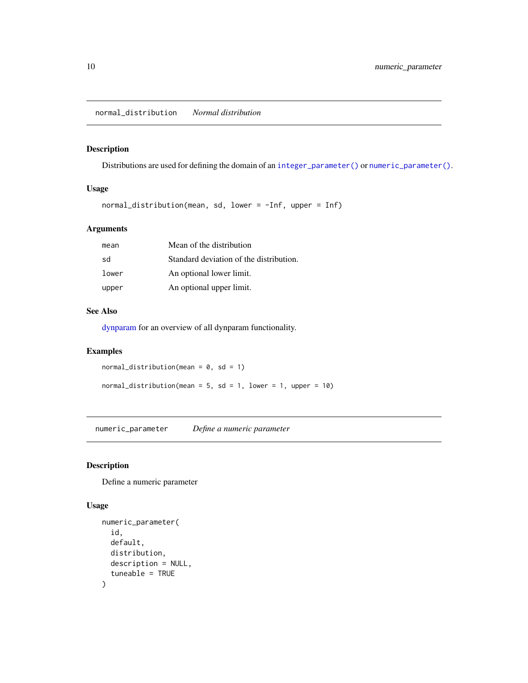#### <span id="page-9-2"></span><span id="page-9-0"></span>Description

Distributions are used for defining the domain of an [integer\\_parameter\(\)](#page-6-1) or [numeric\\_parameter\(\)](#page-9-1).

#### Usage

```
normal_distribution(mean, sd, lower = -Inf, upper = Inf)
```
#### Arguments

| mean  | Mean of the distribution                |
|-------|-----------------------------------------|
| sd    | Standard deviation of the distribution. |
| lower | An optional lower limit.                |
| upper | An optional upper limit.                |

#### See Also

[dynparam](#page-4-1) for an overview of all dynparam functionality.

#### Examples

```
normal\_distribution(mean = 0, sd = 1)
```
normal\_distribution(mean =  $5$ , sd =  $1$ , lower =  $1$ , upper =  $10$ )

<span id="page-9-1"></span>numeric\_parameter *Define a numeric parameter*

#### Description

Define a numeric parameter

```
numeric_parameter(
  id,
  default,
  distribution,
  description = NULL,
  tuneable = TRUE
\mathcal{E}
```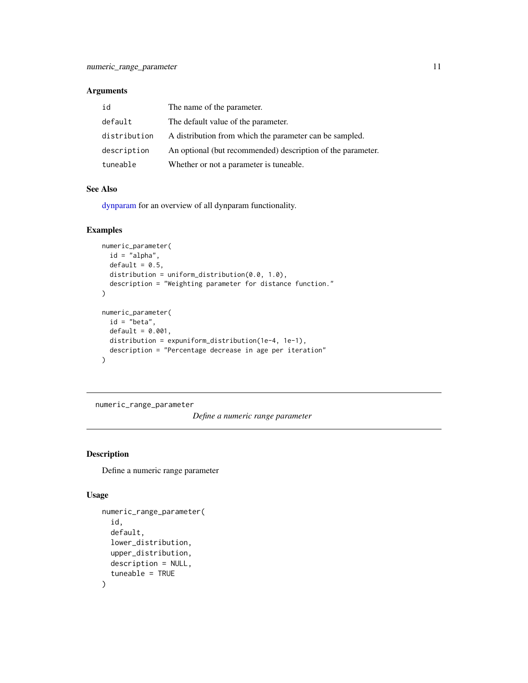<span id="page-10-0"></span>

| id           | The name of the parameter.                                  |
|--------------|-------------------------------------------------------------|
| default      | The default value of the parameter.                         |
| distribution | A distribution from which the parameter can be sampled.     |
| description  | An optional (but recommended) description of the parameter. |
| tuneable     | Whether or not a parameter is tuneable.                     |

#### See Also

[dynparam](#page-4-1) for an overview of all dynparam functionality.

#### Examples

```
numeric_parameter(
  id = "alpha",
  default = 0.5,
  distribution = uniform_distribution(0.0, 1.0),
  description = "Weighting parameter for distance function."
)
numeric_parameter(
  id = "beta",default = 0.001,distribution = expuniform_distribution(1e-4, 1e-1),
  description = "Percentage decrease in age per iteration"
)
```
<span id="page-10-1"></span>numeric\_range\_parameter

*Define a numeric range parameter*

#### Description

Define a numeric range parameter

```
numeric_range_parameter(
  id,
  default,
  lower_distribution,
  upper_distribution,
  description = NULL,
  tuneable = TRUE
\mathcal{E}
```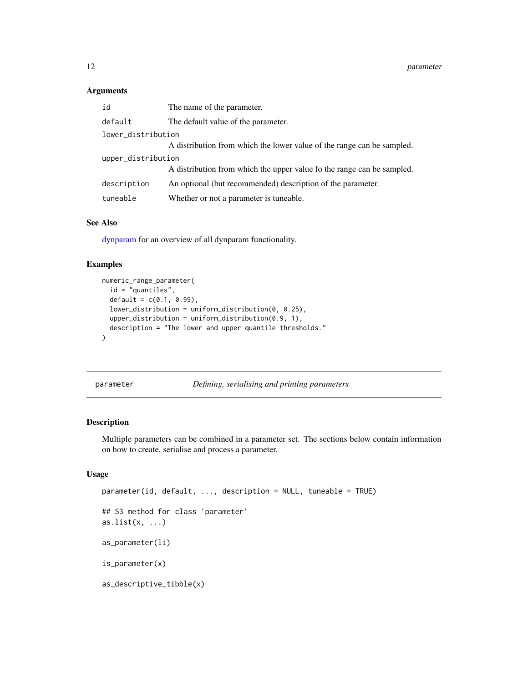<span id="page-11-0"></span>

| id                 | The name of the parameter.                                             |  |
|--------------------|------------------------------------------------------------------------|--|
| default            | The default value of the parameter.                                    |  |
| lower_distribution |                                                                        |  |
|                    | A distribution from which the lower value of the range can be sampled. |  |
| upper_distribution |                                                                        |  |
|                    | A distribution from which the upper value fo the range can be sampled. |  |
| description        | An optional (but recommended) description of the parameter.            |  |
| tuneable           | Whether or not a parameter is tuneable.                                |  |

#### See Also

[dynparam](#page-4-1) for an overview of all dynparam functionality.

#### Examples

```
numeric_range_parameter(
  id = "quantiles",
  default = c(0.1, 0.99),
  lower_distribution = uniform_distribution(0, 0.25),
  upper_distribution = uniform_distribution(0.9, 1),
  description = "The lower and upper quantile thresholds."
\mathcal{L}
```
<span id="page-11-1"></span>parameter *Defining, serialising and printing parameters*

#### Description

Multiple parameters can be combined in a parameter set. The sections below contain information on how to create, serialise and process a parameter.

```
parameter(id, default, ..., description = NULL, tuneable = TRUE)
## S3 method for class 'parameter'
as.list(x, \ldots)as_parameter(li)
is_parameter(x)
as_descriptive_tibble(x)
```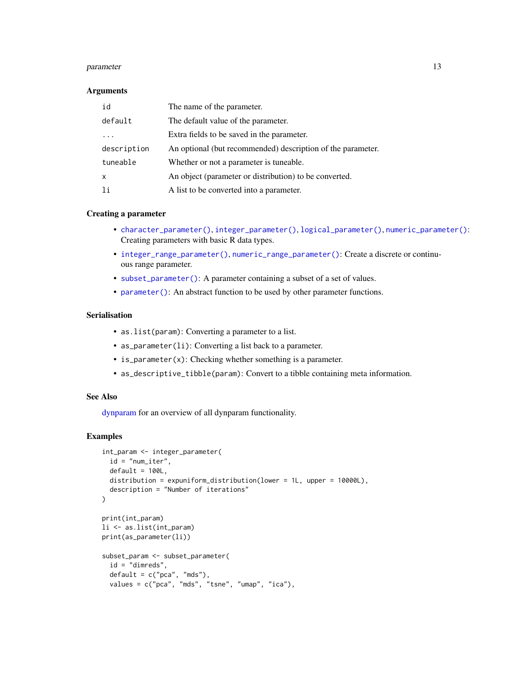#### <span id="page-12-0"></span>parameter and the set of the set of the set of the set of the set of the set of the set of the set of the set of the set of the set of the set of the set of the set of the set of the set of the set of the set of the set of

#### **Arguments**

| id          | The name of the parameter.                                  |
|-------------|-------------------------------------------------------------|
| default     | The default value of the parameter.                         |
|             | Extra fields to be saved in the parameter.                  |
| description | An optional (but recommended) description of the parameter. |
| tuneable    | Whether or not a parameter is tuneable.                     |
| X           | An object (parameter or distribution) to be converted.      |
| 1i          | A list to be converted into a parameter.                    |

#### Creating a parameter

- [character\\_parameter\(\)](#page-1-1), [integer\\_parameter\(\)](#page-6-1), [logical\\_parameter\(\)](#page-8-1), [numeric\\_parameter\(\)](#page-9-1): Creating parameters with basic R data types.
- [integer\\_range\\_parameter\(\)](#page-7-1), [numeric\\_range\\_parameter\(\)](#page-10-1): Create a discrete or continuous range parameter.
- [subset\\_parameter\(\)](#page-15-1): A parameter containing a subset of a set of values.
- [parameter\(\)](#page-11-1): An abstract function to be used by other parameter functions.

#### Serialisation

- as.list(param): Converting a parameter to a list.
- as\_parameter(li): Converting a list back to a parameter.
- is\_parameter(x): Checking whether something is a parameter.
- as\_descriptive\_tibble(param): Convert to a tibble containing meta information.

#### See Also

[dynparam](#page-4-1) for an overview of all dynparam functionality.

```
int_param <- integer_parameter(
 id = "num_iter",
  default = 100L,distribution = expuniform_distribution(lower = 1L, upper = 10000L),
  description = "Number of iterations"
\mathcal{L}print(int_param)
li <- as.list(int_param)
print(as_parameter(li))
subset_param <- subset_parameter(
  id = "dimreds",
  default = c("pca", "mds"),values = c("pca", "mds", "tsne", "umap", "ica"),
```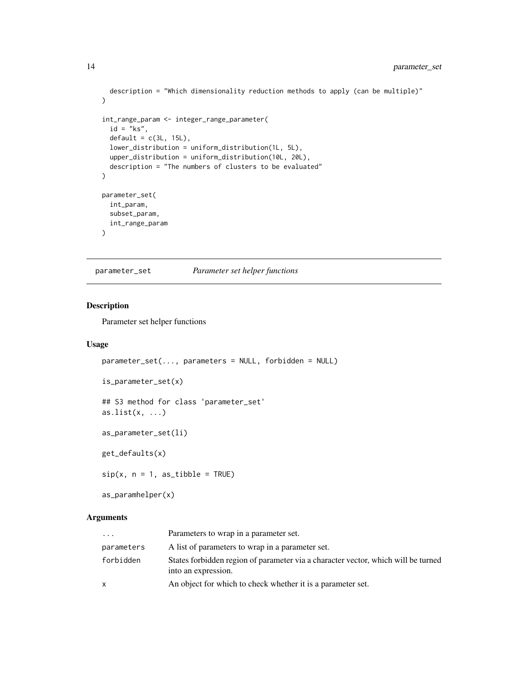```
description = "Which dimensionality reduction methods to apply (can be multiple)"
\mathcal{L}int_range_param <- integer_range_parameter(
  id = "ks",default = c(3L, 15L),lower_distribution = uniform_distribution(1L, 5L),
  upper_distribution = uniform_distribution(10L, 20L),
  description = "The numbers of clusters to be evaluated"
\mathcal{L}parameter_set(
  int_param,
  subset_param,
  int_range_param
)
```
<span id="page-13-1"></span>parameter\_set *Parameter set helper functions*

#### <span id="page-13-2"></span>Description

Parameter set helper functions

#### Usage

```
parameter_set(..., parameters = NULL, forbidden = NULL)
```

```
is_parameter_set(x)
```

```
## S3 method for class 'parameter_set'
as.list(x, \ldots)
```
as\_parameter\_set(li)

get\_defaults(x)

 $sip(x, n = 1, as\_tible = TRUE)$ 

as\_paramhelper(x)

#### Arguments

| $\cdots$   | Parameters to wrap in a parameter set.                                                                   |
|------------|----------------------------------------------------------------------------------------------------------|
| parameters | A list of parameters to wrap in a parameter set.                                                         |
| forbidden  | States forbidden region of parameter via a character vector, which will be turned<br>into an expression. |
| X          | An object for which to check whether it is a parameter set.                                              |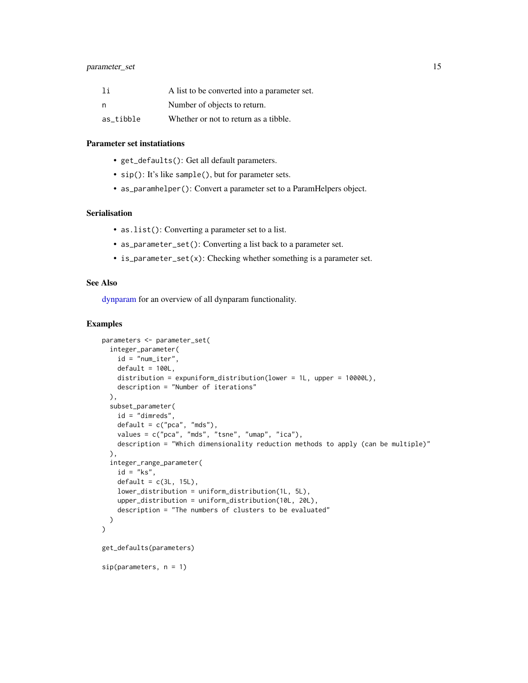<span id="page-14-0"></span>

| 1i        | A list to be converted into a parameter set. |
|-----------|----------------------------------------------|
| n         | Number of objects to return.                 |
| as tibble | Whether or not to return as a tibble.        |

#### Parameter set instatiations

- get\_defaults(): Get all default parameters.
- sip(): It's like sample(), but for parameter sets.
- as\_paramhelper(): Convert a parameter set to a ParamHelpers object.

#### Serialisation

- as.list(): Converting a parameter set to a list.
- as\_parameter\_set(): Converting a list back to a parameter set.
- is\_parameter\_set(x): Checking whether something is a parameter set.

#### See Also

[dynparam](#page-4-1) for an overview of all dynparam functionality.

```
parameters <- parameter_set(
 integer_parameter(
   id = "num_iter",
   default = 100L,distribution = expuniform_distribution(lower = 1L, upper = 10000L),
   description = "Number of iterations"
 ),
 subset_parameter(
   id = "dimreds",
   default = c("pca", "mds"),values = c("pca", "mds", "tsne", "umap", "ica"),
   description = "Which dimensionality reduction methods to apply (can be multiple)"
 ),
 integer_range_parameter(
   id = "ks",default = c(3L, 15L),lower_distribution = uniform_distribution(1L, 5L),
   upper_distribution = uniform_distribution(10L, 20L),
   description = "The numbers of clusters to be evaluated"
 )
\mathcal{L}get_defaults(parameters)
sip(parameters, n = 1)
```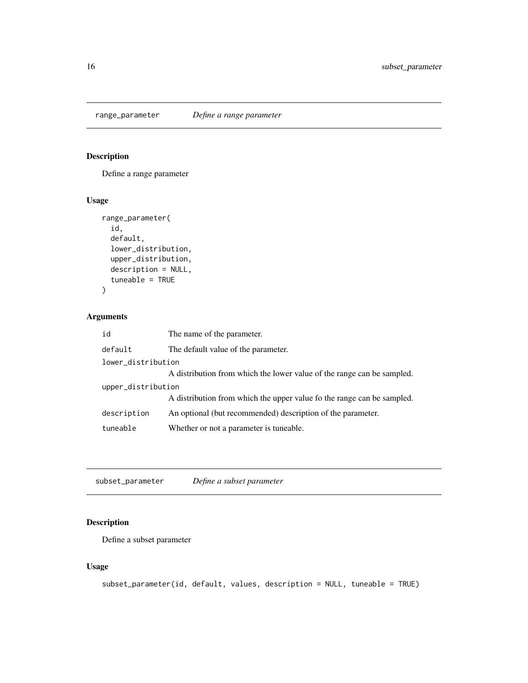<span id="page-15-0"></span>

#### Description

Define a range parameter

#### Usage

```
range_parameter(
  id,
  default,
  lower_distribution,
  upper_distribution,
  description = NULL,
  tuneable = TRUE
)
```
#### Arguments

| id                 | The name of the parameter.                                             |  |
|--------------------|------------------------------------------------------------------------|--|
| default            | The default value of the parameter.                                    |  |
| lower_distribution |                                                                        |  |
|                    | A distribution from which the lower value of the range can be sampled. |  |
| upper_distribution |                                                                        |  |
|                    | A distribution from which the upper value fo the range can be sampled. |  |
| description        | An optional (but recommended) description of the parameter.            |  |
| tuneable           | Whether or not a parameter is tuneable.                                |  |

<span id="page-15-1"></span>subset\_parameter *Define a subset parameter*

#### Description

Define a subset parameter

```
subset_parameter(id, default, values, description = NULL, tuneable = TRUE)
```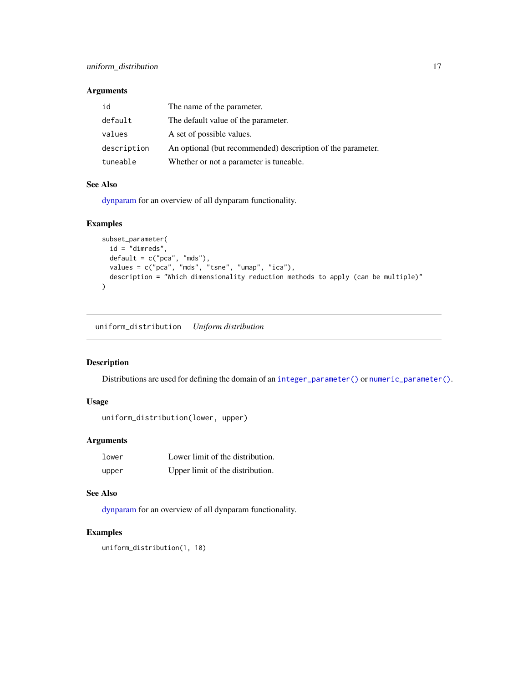<span id="page-16-0"></span>

| id          | The name of the parameter.                                  |
|-------------|-------------------------------------------------------------|
| default     | The default value of the parameter.                         |
| values      | A set of possible values.                                   |
| description | An optional (but recommended) description of the parameter. |
| tuneable    | Whether or not a parameter is tuneable.                     |

#### See Also

[dynparam](#page-4-1) for an overview of all dynparam functionality.

#### Examples

```
subset_parameter(
  id = "dimreds",
  default = c("pca", "mds"),values = c("pca", "mds", "tsne", "umap", "ica"),
  description = "Which dimensionality reduction methods to apply (can be multiple)"
)
```
<span id="page-16-1"></span>uniform\_distribution *Uniform distribution*

#### Description

Distributions are used for defining the domain of an [integer\\_parameter\(\)](#page-6-1) or [numeric\\_parameter\(\)](#page-9-1).

#### Usage

```
uniform_distribution(lower, upper)
```
#### Arguments

| lower | Lower limit of the distribution. |
|-------|----------------------------------|
| upper | Upper limit of the distribution. |

#### See Also

[dynparam](#page-4-1) for an overview of all dynparam functionality.

```
uniform_distribution(1, 10)
```